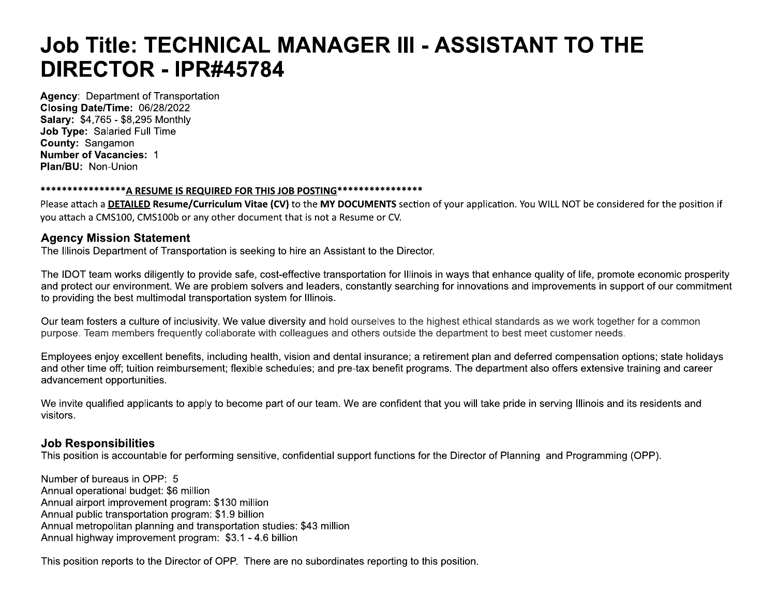# Job Title: TECHNICAL MANAGER III - ASSISTANT TO THE DIRECTOR - IPR#45784

**Agency: Department of Transportation** Closing Date/Time: 06/28/2022 Salary: \$4,765 - \$8,295 Monthly Job Type: Salaried Full Time County: Sangamon **Number of Vacancies: 1** Plan/BU: Non-Union

#### \*\*\*\*\*\*\*\*\*\*\*\*\*\*\*\*A RESUME IS REQUIRED FOR THIS JOB POSTING\*\*\*\*\*\*\*\*\*\*\*\*\*\*\*\*\*

Please attach a **DETAILED Resume/Curriculum Vitae (CV)** to the MY DOCUMENTS section of your application. You WILL NOT be considered for the position if you attach a CMS100, CMS100b or any other document that is not a Resume or CV.

## **Agency Mission Statement**

The Illinois Department of Transportation is seeking to hire an Assistant to the Director.

The IDOT team works diligently to provide safe, cost-effective transportation for Illinois in ways that enhance quality of life, promote economic prosperity and protect our environment. We are problem solvers and leaders, constantly searching for innovations and improvements in support of our commitment to providing the best multimodal transportation system for Illinois.

Our team fosters a culture of inclusivity. We value diversity and hold ourselves to the highest ethical standards as we work together for a common purpose. Team members frequently collaborate with colleagues and others outside the department to best meet customer needs.

Employees enjoy excellent benefits, including health, vision and dental insurance; a retirement plan and deferred compensation options; state holidays and other time off; tuition reimbursement; flexible schedules; and pre-tax benefit programs. The department also offers extensive training and career advancement opportunities.

We invite qualified applicants to apply to become part of our team. We are confident that you will take pride in serving Illinois and its residents and visitors.

## **Job Responsibilities**

This position is accountable for performing sensitive, confidential support functions for the Director of Planning and Programming (OPP).

Number of bureaus in OPP: 5 Annual operational budget: \$6 million Annual airport improvement program: \$130 million Annual public transportation program: \$1.9 billion Annual metropolitan planning and transportation studies: \$43 million Annual highway improvement program: \$3.1 - 4.6 billion

This position reports to the Director of OPP. There are no subordinates reporting to this position.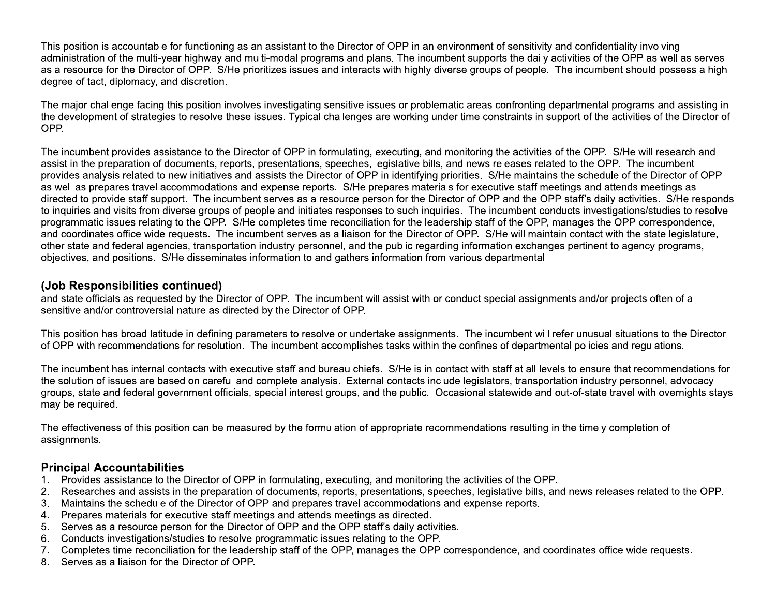This position is accountable for functioning as an assistant to the Director of OPP in an environment of sensitivity and confidentiality involving administration of the multi-year highway and multi-modal programs and plans. The incumbent supports the daily activities of the OPP as well as serves as a resource for the Director of OPP. S/He prioritizes issues and interacts with highly diverse groups of people. The incumbent should possess a high degree of tact, diplomacy, and discretion.

The major challenge facing this position involves investigating sensitive issues or problematic areas confronting departmental programs and assisting in the development of strategies to resolve these issues. Typical challenges are working under time constraints in support of the activities of the Director of OPP.

The incumbent provides assistance to the Director of OPP in formulating, executing, and monitoring the activities of the OPP. S/He will research and assist in the preparation of documents, reports, presentations, speeches, legislative bills, and news releases related to the OPP. The incumbent provides analysis related to new initiatives and assists the Director of OPP in identifying priorities. S/He maintains the schedule of the Director of OPP as well as prepares travel accommodations and expense reports. S/He prepares materials for executive staff meetings and attends meetings as directed to provide staff support. The incumbent serves as a resource person for the Director of OPP and the OPP staff's daily activities. S/He responds to inquiries and visits from diverse groups of people and initiates responses to such inquiries. The incumbent conducts investigations/studies to resolve programmatic issues relating to the OPP. S/He completes time reconciliation for the leadership staff of the OPP, manages the OPP correspondence, and coordinates office wide requests. The incumbent serves as a liaison for the Director of OPP. S/He will maintain contact with the state legislature, other state and federal agencies, transportation industry personnel, and the public regarding information exchanges pertinent to agency programs, objectives, and positions. S/He disseminates information to and gathers information from various departmental

# (Job Responsibilities continued)

and state officials as requested by the Director of OPP. The incumbent will assist with or conduct special assignments and/or projects often of a sensitive and/or controversial nature as directed by the Director of OPP.

This position has broad latitude in defining parameters to resolve or undertake assignments. The incumbent will refer unusual situations to the Director of OPP with recommendations for resolution. The incumbent accomplishes tasks within the confines of departmental policies and regulations.

The incumbent has internal contacts with executive staff and bureau chiefs. S/He is in contact with staff at all levels to ensure that recommendations for the solution of issues are based on careful and complete analysis. External contacts include legislators, transportation industry personnel, advocacy aroups, state and federal government officials, special interest groups, and the public. Occasional statewide and out-of-state travel with overnights stays may be required.

The effectiveness of this position can be measured by the formulation of appropriate recommendations resulting in the timely completion of assignments.

## **Principal Accountabilities**

- Provides assistance to the Director of OPP in formulating, executing, and monitoring the activities of the OPP.  $1.$
- Researches and assists in the preparation of documents, reports, presentations, speeches, legislative bills, and news releases related to the OPP.  $2.$
- Maintains the schedule of the Director of OPP and prepares travel accommodations and expense reports.  $3.$
- Prepares materials for executive staff meetings and attends meetings as directed.  $4<sub>1</sub>$
- Serves as a resource person for the Director of OPP and the OPP staff's daily activities. 5.
- Conducts investigations/studies to resolve programmatic issues relating to the OPP.  $6.$
- Completes time reconciliation for the leadership staff of the OPP, manages the OPP correspondence, and coordinates office wide requests.  $7.$
- $8.$ Serves as a liaison for the Director of OPP.